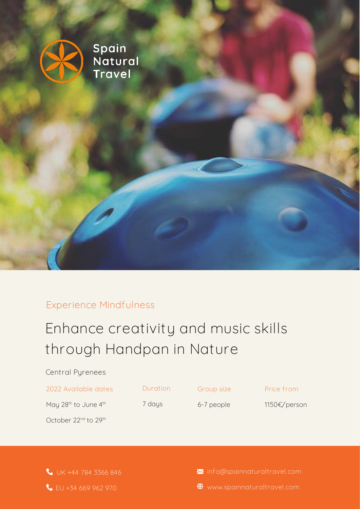

### **Experience Mindfulness**

# Enhance creativity and music skills **PRE-PYRENEAN through Handpan in Nature**

| Central Pyrenees                             |          |            |              |
|----------------------------------------------|----------|------------|--------------|
| 2022 Available dates                         | Duration | Group size | Price from   |
| May 28 <sup>th</sup> to June 4 <sup>th</sup> | 7 days   | 6-7 people | 1150€/person |
| October 22 <sup>nd</sup> to 29 <sup>th</sup> |          |            |              |
|                                              |          |            |              |
|                                              |          |            |              |

 **UK +44 784 3366 846 EU +34 669 962 970**

 **info@spainnaturaltravel.com**

 **www.spainnaturaltravel.com**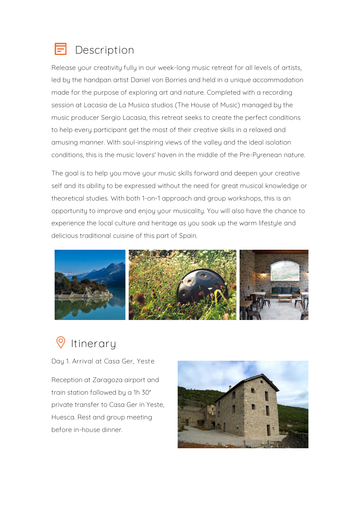

Release your creativity fully in our week-long music retreat for all levels of artists, led by the handpan artist Daniel von Borries and held in a unique accommodation made for the purpose of exploring art and nature. Completed with a recording session at Lacasia de La Musica studios (The House of Music) managed by the music producer Sergio Lacasia, this retreat seeks to create the perfect conditions to help every participant get the most of their creative skills in a relaxed and amusing manner. With soul-inspiring views of the valley and the ideal isolation conditions, this is the music lovers' haven in the middle of the Pre-Pyrenean nature.

The goal is to help you move your music skills forward and deepen your creative self and its ability to be expressed without the need for great musical knowledge or theoretical studies. With both 1-on-1 approach and group workshops, this is an opportunity to improve and enjoy your musicality. You will also have the chance to experience the local culture and heritage as you soak up the warm lifestyle and delicious traditional cuisine of this part of Spain.



**Itinerary**

**Day 1. Arrival at Casa Ger, Yeste**

Reception at Zaragoza airport and train station followed by a 1h 30′ private transfer to Casa Ger in Yeste, Huesca. Rest and group meeting before in-house dinner.

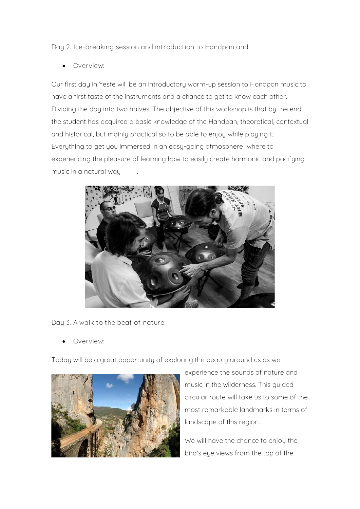**Day 2. Ice-breaking session and introduction to Handpan and** 

• **Overview:**

Our first day in Yeste will be an introductory warm-up session to Handpan music to have a first taste of the instruments and a chance to get to know each other. Dividing the day into two halves, The objective of this workshop is that by the end, the student has acquired a basic knowledge of the Handpan, theoretical, contextual and historical, but mainly practical so to be able to enjoy while playing it. Everything to get you immersed in an easy-going atmosphere where to experiencing the pleasure of learning how to easily create harmonic and pacifying music in a natural way .



**Day 3. A walk to the beat of nature**

• **Overview:**

Today will be a great opportunity of exploring the beauty around us as we



experience the sounds of nature and music in the wilderness. This guided circular route will take us to some of the most remarkable landmarks in terms of landscape of this region.

We will have the chance to enjou the bird's eye views from the top of the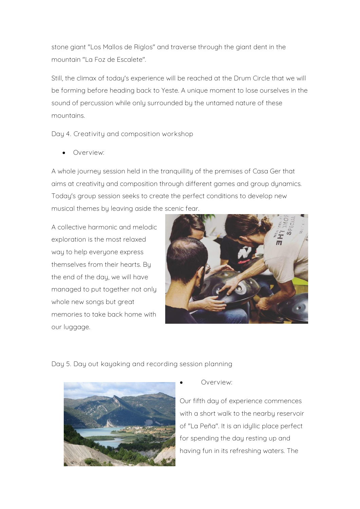stone giant "Los Mallos de Riglos" and traverse through the giant dent in the mountain "La Foz de Escalete".

Still, the climax of today's experience will be reached at the Drum Circle that we will be forming before heading back to Yeste. A unique moment to lose ourselves in the sound of percussion while only surrounded by the untamed nature of these mountains.

**Day 4. Creativity and composition workshop**

• **Overview:**

A whole journey session held in the tranquillity of the premises of Casa Ger that aims at creativity and composition through different games and group dynamics. Today's group session seeks to create the perfect conditions to develop new musical themes by leaving aside the scenic fear.

A collective harmonic and melodic exploration is the most relaxed way to help everyone express themselves from their hearts. By the end of the day, we will have managed to put together not only whole new songs but great memories to take back home with our luggage.



**Day 5. Day out kayaking and recording session planning**



• **Overview:**

Our fifth day of experience commences with a short walk to the nearbu reservoir of "La Peña". It is an idyllic place perfect for spending the day resting up and having fun in its refreshing waters. The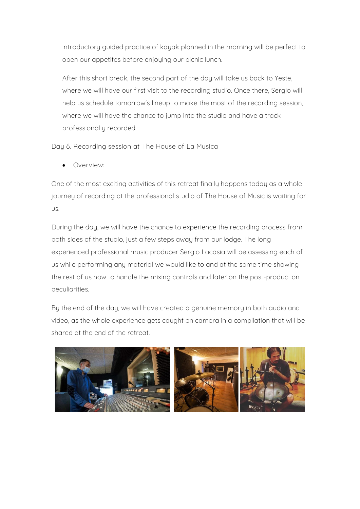introductory guided practice of kayak planned in the morning will be perfect to open our appetites before enjoying our picnic lunch.

After this short break, the second part of the day will take us back to Yeste, where we will have our first visit to the recording studio. Once there, Sergio will help us schedule tomorrow's lineup to make the most of the recording session, where we will have the chance to jump into the studio and have a track professionally recorded!

**Day 6. Recording session at The House of La Musica**

• **Overview:**

One of the most exciting activities of this retreat finally happens today as a whole journey of recording at the professional studio of The House of Music is waiting for us.

During the day, we will have the chance to experience the recording process from both sides of the studio, just a few steps away from our lodge. The long experienced professional music producer Sergio Lacasia will be assessing each of us while performing any material we would like to and at the same time showing the rest of us how to handle the mixing controls and later on the post-production peculiarities.

By the end of the day, we will have created a genuine memory in both audio and video, as the whole experience gets caught on camera in a compilation that will be shared at the end of the retreat.

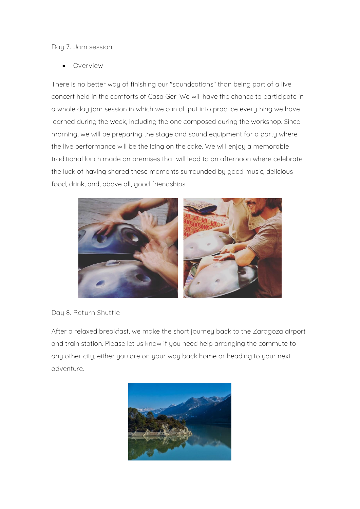**Day 7. Jam session.**

• **Overview**

There is no better way of finishing our "soundcations" than being part of a live concert held in the comforts of Casa Ger. We will have the chance to participate in a whole day jam session in which we can all put into practice everything we have learned during the week, including the one composed during the workshop. Since morning, we will be preparing the stage and sound equipment for a party where the live performance will be the icing on the cake. We will enjoy a memorable traditional lunch made on premises that will lead to an afternoon where celebrate the luck of having shared these moments surrounded by good music, delicious food, drink, and, above all, good friendships.



#### **Day 8. Return Shuttle**

After a relaxed breakfast, we make the short journey back to the Zaragoza airport and train station. Please let us know if you need help arranging the commute to any other city, either you are on your way back home or heading to your next adventure.

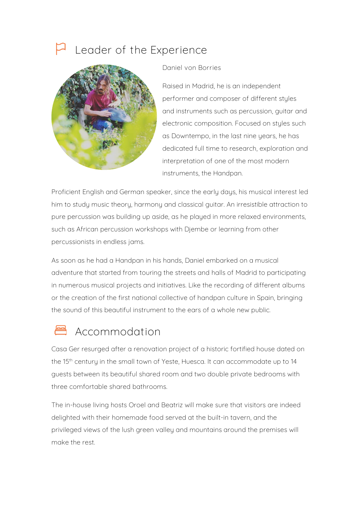### **Leader of the Experience**



**Daniel von Borries**

Raised in Madrid, he is an independent performer and composer of different styles and instruments such as percussion, guitar and electronic composition. Focused on styles such as Downtempo, in the last nine years, he has dedicated full time to research, exploration and interpretation of one of the most modern instruments, the Handpan.

Proficient English and German speaker, since the early days, his musical interest led him to study music theory, harmony and classical guitar. An irresistible attraction to pure percussion was building up aside, as he played in more relaxed environments, such as African percussion workshops with Djembe or learning from other percussionists in endless jams.

As soon as he had a Handpan in his hands, Daniel embarked on a musical adventure that started from touring the streets and halls of Madrid to participating in numerous musical projects and initiatives. Like the recording of different albums or the creation of the first national collective of handpan culture in Spain, bringing the sound of this beautiful instrument to the ears of a whole new public.

### **Accommodation**

Casa Ger resurged after a renovation project of a historic fortified house dated on the 15th century in the small town of Yeste, Huesca. It can accommodate up to 14 guests between its beautiful shared room and two double private bedrooms with three comfortable shared bathrooms.

The in-house living hosts Oroel and Beatriz will make sure that visitors are indeed delighted with their homemade food served at the built-in tavern, and the privileged views of the lush green valley and mountains around the premises will make the rest.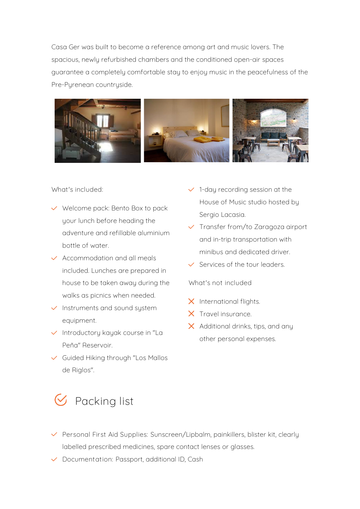Casa Ger was built to become a reference among art and music lovers. The spacious, newly refurbished chambers and the conditioned open-air spaces guarantee a completely comfortable stay to enjoy music in the peacefulness of the Pre-Pyrenean countryside.



#### **What's included:**

- $\vee$  Welcome pack: Bento Box to pack your lunch before heading the adventure and refillable aluminium bottle of water.
- $\checkmark$  Accommodation and all meals included. Lunches are prepared in house to be taken away during the walks as picnics when needed.
- $\checkmark$  Instruments and sound system equipment.
- $\checkmark$  Introductory kayak course in "La Peña" Reservoir.
- Guided Hiking through "Los Mallos de Riglos".
- $\checkmark$  1-day recording session at the House of Music studio hosted by Sergio Lacasia.
- $\checkmark$  Transfer from/to Zaragoza airport and in-trip transportation with minibus and dedicated driver.
- $\checkmark$  Services of the tour leaders.

**What's not included**

- $\times$  International flights.
- X Travel insurance.
- $\times$  Additional drinks, tips, and any other personal expenses.

- **Packing list**
- **Personal First Aid Supplies:** Sunscreen/Lipbalm, painkillers, blister kit, clearly labelled prescribed medicines, spare contact lenses or glasses.
- **Documentation:** Passport, additional ID, Cash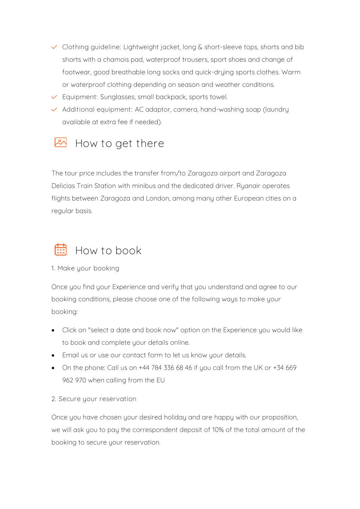- **Clothing guideline:** Lightweight jacket, long & short-sleeve tops, shorts and bib shorts with a chamois pad, waterproof trousers, sport shoes and change of footwear, good breathable long socks and quick-drying sports clothes. Warm or waterproof clothing depending on season and weather conditions.
- **Equipment:** Sunglasses, small backpack, sports towel.
- **Additional equipment:** AC adaptor, camera, hand-washing soap (laundry available at extra fee if needed).

### **How to get there**

The tour price includes the transfer from/to Zaragoza airport and Zaragoza Delicias Train Station with minibus and the dedicated driver. Ryanair operates flights between Zaragoza and London, among many other European cities on a regular basis.

## **How to book**

**1. Make your booking**

Once you find your Experience and verify that you understand and agree to our booking conditions, please choose one of the following ways to make your booking:

- Click on "select a date and book now" option on the Experience you would like to book and complete your details online.
- Email us or use our contact form to let us know your details.
- On the phone: Call us on  $+44$  784 336 68 46 if you call from the UK or  $+34$  669 962 970 when calling from the EU
- **2. Secure your reservation**

Once you have chosen your desired holiday and are happy with our proposition, we will ask you to pay the correspondent deposit of 10% of the total amount of the booking to secure your reservation.